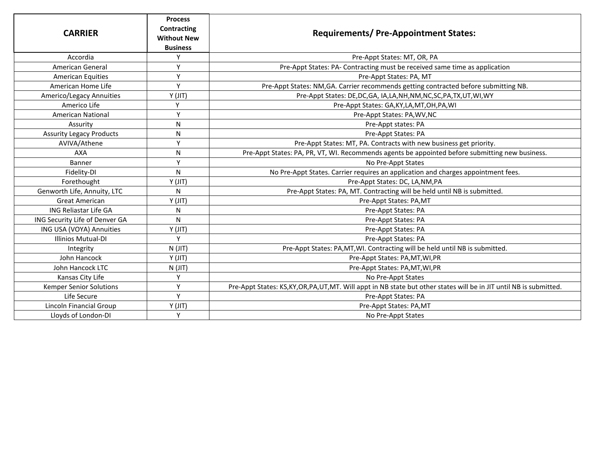| <b>CARRIER</b>                  | <b>Process</b><br>Contracting<br><b>Without New</b><br><b>Business</b> | <b>Requirements/ Pre-Appointment States:</b>                                                                     |
|---------------------------------|------------------------------------------------------------------------|------------------------------------------------------------------------------------------------------------------|
| Accordia                        | Y                                                                      | Pre-Appt States: MT, OR, PA                                                                                      |
| American General                | Y                                                                      | Pre-Appt States: PA- Contracting must be received same time as application                                       |
| <b>American Equities</b>        | Y                                                                      | Pre-Appt States: PA, MT                                                                                          |
| American Home Life              | Y                                                                      | Pre-Appt States: NM, GA. Carrier recommends getting contracted before submitting NB.                             |
| Americo/Legacy Annuities        | Y(JIT)                                                                 | Pre-Appt States: DE, DC, GA, IA, LA, NH, NM, NC, SC, PA, TX, UT, WI, WY                                          |
| Americo Life                    | Y                                                                      | Pre-Appt States: GA, KY, LA, MT, OH, PA, WI                                                                      |
| <b>American National</b>        | Y                                                                      | Pre-Appt States: PA, WV, NC                                                                                      |
| Assurity                        | N                                                                      | Pre-Appt states: PA                                                                                              |
| <b>Assurity Legacy Products</b> | N                                                                      | Pre-Appt States: PA                                                                                              |
| AVIVA/Athene                    | Y                                                                      | Pre-Appt States: MT, PA. Contracts with new business get priority.                                               |
| <b>AXA</b>                      | N                                                                      | Pre-Appt States: PA, PR, VT, WI. Recommends agents be appointed before submitting new business.                  |
| Banner                          | Y                                                                      | No Pre-Appt States                                                                                               |
| Fidelity-DI                     | N                                                                      | No Pre-Appt States. Carrier requires an application and charges appointment fees.                                |
| Forethought                     | Y(JIT)                                                                 | Pre-Appt States: DC, LA, NM, PA                                                                                  |
| Genworth Life, Annuity, LTC     | N                                                                      | Pre-Appt States: PA, MT. Contracting will be held until NB is submitted.                                         |
| <b>Great American</b>           | Y(JIT)                                                                 | Pre-Appt States: PA,MT                                                                                           |
| <b>ING Reliastar Life GA</b>    | N                                                                      | Pre-Appt States: PA                                                                                              |
| ING Security Life of Denver GA  | N                                                                      | Pre-Appt States: PA                                                                                              |
| ING USA (VOYA) Annuities        | Y(JIT)                                                                 | Pre-Appt States: PA                                                                                              |
| <b>Illinios Mutual-DI</b>       | Y                                                                      | Pre-Appt States: PA                                                                                              |
| Integrity                       | $N$ (JIT)                                                              | Pre-Appt States: PA, MT, WI. Contracting will be held until NB is submitted.                                     |
| John Hancock                    | Y(JIT)                                                                 | Pre-Appt States: PA, MT, WI, PR                                                                                  |
| John Hancock LTC                | $N$ (JIT)                                                              | Pre-Appt States: PA,MT,WI,PR                                                                                     |
| Kansas City Life                | Y                                                                      | No Pre-Appt States                                                                                               |
| Kemper Senior Solutions         | Y                                                                      | Pre-Appt States: KS,KY,OR,PA,UT,MT. Will appt in NB state but other states will be in JIT until NB is submitted. |
| Life Secure                     | Y                                                                      | Pre-Appt States: PA                                                                                              |
| Lincoln Financial Group         | Y(JIT)                                                                 | Pre-Appt States: PA,MT                                                                                           |
| Lloyds of London-DI             | Y                                                                      | No Pre-Appt States                                                                                               |